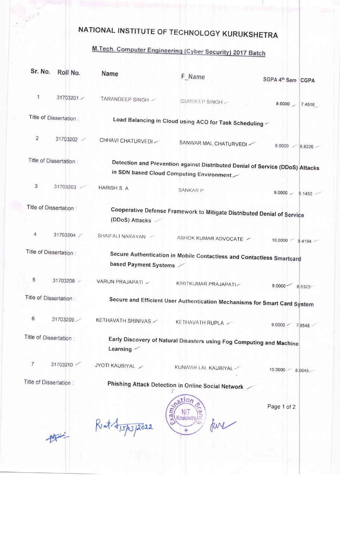## NATIONAL INSTITUTE OF TECHNOLOGY KURUKSHETRA

 $\mathbb{R}^{k \times 3}$ 

 $\begin{picture}(220,10) \put(0,0){\vector(0,1){10}} \put(15,0){\vector(0,1){10}} \put(15,0){\vector(0,1){10}} \put(15,0){\vector(0,1){10}} \put(15,0){\vector(0,1){10}} \put(15,0){\vector(0,1){10}} \put(15,0){\vector(0,1){10}} \put(15,0){\vector(0,1){10}} \put(15,0){\vector(0,1){10}} \put(15,0){\vector(0,1){10}} \put(15,0){\vector(0,1){10}} \put(15,0){\vector($ 

## M.Tech. Computer Engineering (Cyber Security) 2017 Batch

| Sr. No.                 | Roll No.                | <b>Name</b>                                                                                                               | F Name                                                                | SGPA 4th Sem CGPA         |  |  |
|-------------------------|-------------------------|---------------------------------------------------------------------------------------------------------------------------|-----------------------------------------------------------------------|---------------------------|--|--|
| 1                       | 31703201                | TARANDEEP SINGH /                                                                                                         | GURDEEP SINGH -                                                       | 8.0000<br>7.4516          |  |  |
| Title of Dissertation : |                         | Load Balancing in Cloud using ACO for Task Scheduling                                                                     |                                                                       |                           |  |  |
| $\overline{c}$          | 31703202 /              | CHHAVI CHATURVEDI                                                                                                         | SANWAR MAL CHATURVEDI                                                 | 8.0000<br>8.8226          |  |  |
|                         | Title of Dissertation : |                                                                                                                           |                                                                       |                           |  |  |
|                         |                         | Detection and Prevention against Distributed Denial of Service (DDoS) Attacks<br>in SDN based Cloud Computing Environment |                                                                       |                           |  |  |
| 3                       | 31703203                | HARISH S. A                                                                                                               | <b>SANKARP</b>                                                        | $9.0000 - 9.1452$         |  |  |
| Title of Dissertation:  |                         | Cooperative Defense Framework to Mitigate Distributed Denial of Service<br>(DDoS) Attacks                                 |                                                                       |                           |  |  |
|                         |                         |                                                                                                                           |                                                                       |                           |  |  |
| 4                       | 31703204                | SHAIFALI NARAYAN                                                                                                          | ASHOK KUMAR ADVOCATE /                                                | $10.0000$ –<br>$9.4194 -$ |  |  |
|                         | Title of Dissertation:  |                                                                                                                           | Secure Authentication in Mobile Contactless and Contactless Smartcard |                           |  |  |
|                         |                         | based Payment Systems                                                                                                     |                                                                       |                           |  |  |
| 5                       | 31703208                | VARUN PRAJAPATI ~                                                                                                         | KIRITKUMAR PRAJAPATI-                                                 | $9.0000$ $-$<br>8.5323    |  |  |
| Title of Dissertation : |                         | Secure and Efficient User Authentication Mechanisms for Smart Card System                                                 |                                                                       |                           |  |  |
| 6                       | 31703209                | KETHAVATH SRINIVAS                                                                                                        | KETHAVATH RUPLA                                                       | 9.0000 <<br>78548         |  |  |
| Title of Dissertation:  |                         | Early Discovery of Natural Disasters using Fog Computing and Machine<br>Learning $\angle$                                 |                                                                       |                           |  |  |
| $\overline{7}$          | 31703210                | JYOTI KAUBIYAL                                                                                                            | KUNWAR LAL KAUBIYAL                                                   | 10.0000<br>8.0645.        |  |  |
| Title of Dissertation:  |                         |                                                                                                                           | Phishing Attack Detection in Online Social Network /                  |                           |  |  |
|                         |                         | Rent +15/03/2022                                                                                                          | ation<br>$x$ am<br>Kurukshetra                                        | Page 1 of 2               |  |  |